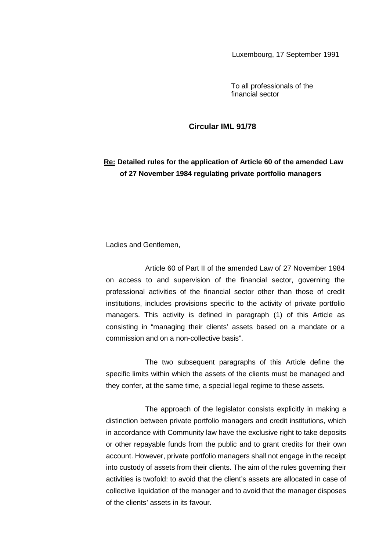Luxembourg, 17 September 1991

To all professionals of the financial sector

## **Circular IML 91/78**

## **Re: Detailed rules for the application of Article 60 of the amended Law of 27 November 1984 regulating private portfolio managers**

Ladies and Gentlemen,

Article 60 of Part II of the amended Law of 27 November 1984 on access to and supervision of the financial sector, governing the professional activities of the financial sector other than those of credit institutions, includes provisions specific to the activity of private portfolio managers. This activity is defined in paragraph (1) of this Article as consisting in "managing their clients' assets based on a mandate or a commission and on a non-collective basis".

The two subsequent paragraphs of this Article define the specific limits within which the assets of the clients must be managed and they confer, at the same time, a special legal regime to these assets.

The approach of the legislator consists explicitly in making a distinction between private portfolio managers and credit institutions, which in accordance with Community law have the exclusive right to take deposits or other repayable funds from the public and to grant credits for their own account. However, private portfolio managers shall not engage in the receipt into custody of assets from their clients. The aim of the rules governing their activities is twofold: to avoid that the client's assets are allocated in case of collective liquidation of the manager and to avoid that the manager disposes of the clients' assets in its favour.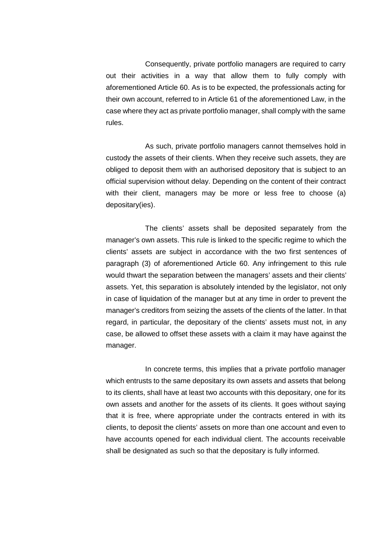Consequently, private portfolio managers are required to carry out their activities in a way that allow them to fully comply with aforementioned Article 60. As is to be expected, the professionals acting for their own account, referred to in Article 61 of the aforementioned Law, in the case where they act as private portfolio manager, shall comply with the same rules.

As such, private portfolio managers cannot themselves hold in custody the assets of their clients. When they receive such assets, they are obliged to deposit them with an authorised depository that is subject to an official supervision without delay. Depending on the content of their contract with their client, managers may be more or less free to choose (a) depositary(ies).

The clients' assets shall be deposited separately from the manager's own assets. This rule is linked to the specific regime to which the clients' assets are subject in accordance with the two first sentences of paragraph (3) of aforementioned Article 60. Any infringement to this rule would thwart the separation between the managers' assets and their clients' assets. Yet, this separation is absolutely intended by the legislator, not only in case of liquidation of the manager but at any time in order to prevent the manager's creditors from seizing the assets of the clients of the latter. In that regard, in particular, the depositary of the clients' assets must not, in any case, be allowed to offset these assets with a claim it may have against the manager.

In concrete terms, this implies that a private portfolio manager which entrusts to the same depositary its own assets and assets that belong to its clients, shall have at least two accounts with this depositary, one for its own assets and another for the assets of its clients. It goes without saying that it is free, where appropriate under the contracts entered in with its clients, to deposit the clients' assets on more than one account and even to have accounts opened for each individual client. The accounts receivable shall be designated as such so that the depositary is fully informed.